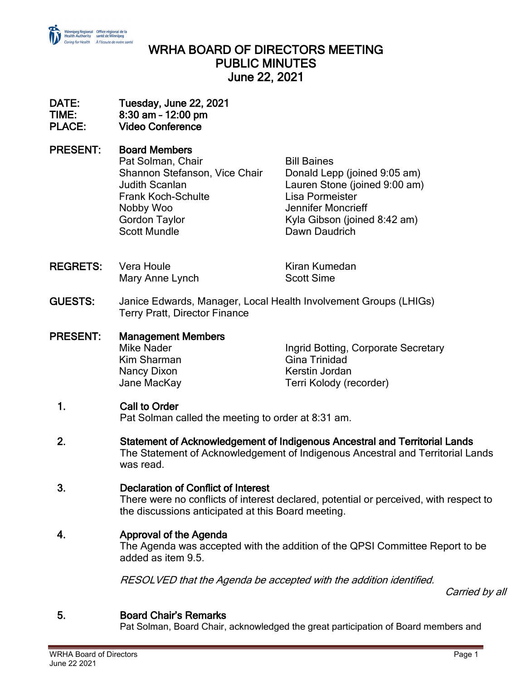

# WRHA BOARD OF DIRECTORS MEETING PUBLIC MINUTES June 22, 2021

#### DATE: Tuesday, June 22, 2021 TIME: 8:30 am – 12:00 pm PLACE: Video Conference

PRESENT: Board Members Pat Solman, Chair **Bill Baines** Shannon Stefanson, Vice Chair Donald Lepp (joined 9:05 am) Judith Scanlan Lauren Stone (joined 9:00 am) Frank Koch-Schulte Lisa Pormeister Nobby Woo Jennifer Moncrieff Gordon Taylor **Kyla Gibson** (joined 8:42 am) Scott Mundle **Dawn Daudrich** 

REGRETS: Vera Houle **Kiran Kumedan** Mary Anne Lynch Scott Sime

- GUESTS: Janice Edwards, Manager, Local Health Involvement Groups (LHIGs) Terry Pratt, Director Finance
- PRESENT: Management Members Mike Nader **Ingrid Botting, Corporate Secretary** Kim Sharman Gina Trinidad Nancy Dixon **Nancy Dixon** Kerstin Jordan Jane MacKay Terri Kolody (recorder)

## 1. Call to Order

Pat Solman called the meeting to order at 8:31 am.

2. Statement of Acknowledgement of Indigenous Ancestral and Territorial Lands The Statement of Acknowledgement of Indigenous Ancestral and Territorial Lands was read.

## 3. Declaration of Conflict of Interest

There were no conflicts of interest declared, potential or perceived, with respect to the discussions anticipated at this Board meeting.

## 4. Approval of the Agenda

The Agenda was accepted with the addition of the QPSI Committee Report to be added as item 9.5.

RESOLVED that the Agenda be accepted with the addition identified.

Carried by all

## 5. Board Chair's Remarks

Pat Solman, Board Chair, acknowledged the great participation of Board members and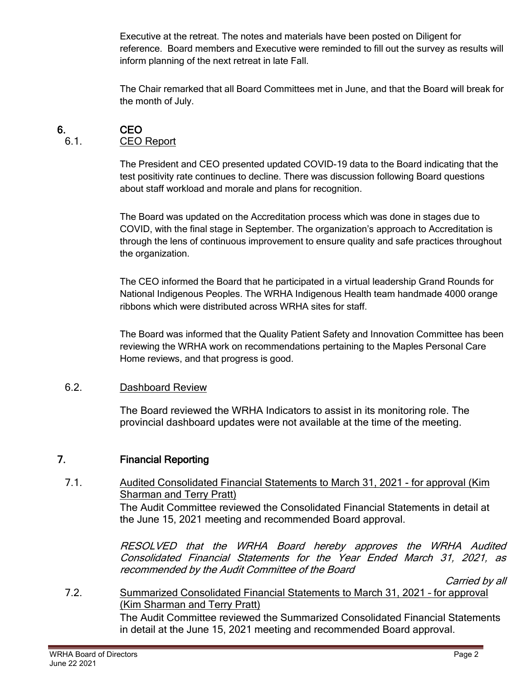Executive at the retreat. The notes and materials have been posted on Diligent for reference. Board members and Executive were reminded to fill out the survey as results will inform planning of the next retreat in late Fall.

The Chair remarked that all Board Committees met in June, and that the Board will break for the month of July.

## 6. CEO

#### 6.1. CEO Report

The President and CEO presented updated COVID-19 data to the Board indicating that the test positivity rate continues to decline. There was discussion following Board questions about staff workload and morale and plans for recognition.

The Board was updated on the Accreditation process which was done in stages due to COVID, with the final stage in September. The organization's approach to Accreditation is through the lens of continuous improvement to ensure quality and safe practices throughout the organization.

The CEO informed the Board that he participated in a virtual leadership Grand Rounds for National Indigenous Peoples. The WRHA Indigenous Health team handmade 4000 orange ribbons which were distributed across WRHA sites for staff.

The Board was informed that the Quality Patient Safety and Innovation Committee has been reviewing the WRHA work on recommendations pertaining to the Maples Personal Care Home reviews, and that progress is good.

#### 6.2. Dashboard Review

The Board reviewed the WRHA Indicators to assist in its monitoring role. The provincial dashboard updates were not available at the time of the meeting.

## 7. Financial Reporting

7.1. Audited Consolidated Financial Statements to March 31, 2021 - for approval (Kim Sharman and Terry Pratt)

> The Audit Committee reviewed the Consolidated Financial Statements in detail at the June 15, 2021 meeting and recommended Board approval.

RESOLVED that the WRHA Board hereby approves the WRHA Audited Consolidated Financial Statements for the Year Ended March 31, 2021, as recommended by the Audit Committee of the Board

Carried by all

7.2. Summarized Consolidated Financial Statements to March 31, 2021 – for approval (Kim Sharman and Terry Pratt) The Audit Committee reviewed the Summarized Consolidated Financial Statements in detail at the June 15, 2021 meeting and recommended Board approval.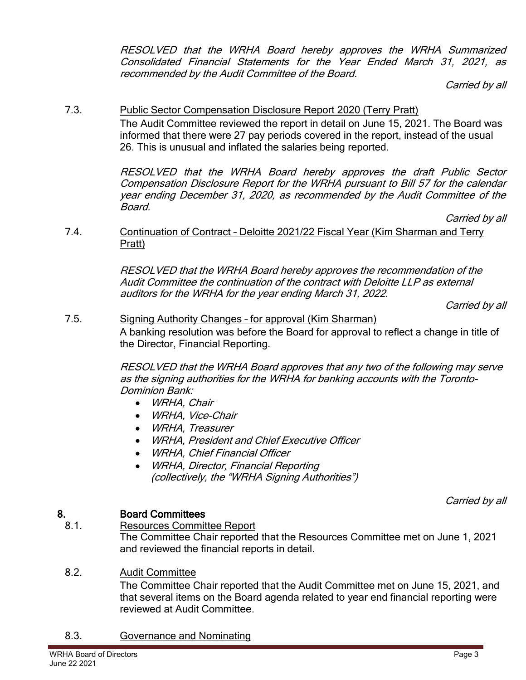RESOLVED that the WRHA Board hereby approves the WRHA Summarized Consolidated Financial Statements for the Year Ended March 31, 2021, as recommended by the Audit Committee of the Board.

Carried by all

## 7.3. Public Sector Compensation Disclosure Report 2020 (Terry Pratt)

The Audit Committee reviewed the report in detail on June 15, 2021. The Board was informed that there were 27 pay periods covered in the report, instead of the usual 26. This is unusual and inflated the salaries being reported.

RESOLVED that the WRHA Board hereby approves the draft Public Sector Compensation Disclosure Report for the WRHA pursuant to Bill 57 for the calendar year ending December 31, 2020, as recommended by the Audit Committee of the Board.

Carried by all

7.4. Continuation of Contract – Deloitte 2021/22 Fiscal Year (Kim Sharman and Terry Pratt)

> RESOLVED that the WRHA Board hereby approves the recommendation of the Audit Committee the continuation of the contract with Deloitte LLP as external auditors for the WRHA for the year ending March 31, 2022.

Carried by all

7.5. Signing Authority Changes – for approval (Kim Sharman) A banking resolution was before the Board for approval to reflect a change in title of the Director, Financial Reporting.

> RESOLVED that the WRHA Board approves that any two of the following may serve as the signing authorities for the WRHA for banking accounts with the Toronto-Dominion Bank:

- WRHA, Chair
- WRHA, Vice-Chair
- WRHA, Treasurer
- WRHA, President and Chief Executive Officer
- WRHA, Chief Financial Officer
- WRHA, Director, Financial Reporting (collectively, the "WRHA Signing Authorities")

Carried by all

## 8. Board Committees

8.1. Resources Committee Report The Committee Chair reported that the Resources Committee met on June 1, 2021 and reviewed the financial reports in detail.

## 8.2. Audit Committee

The Committee Chair reported that the Audit Committee met on June 15, 2021, and that several items on the Board agenda related to year end financial reporting were reviewed at Audit Committee.

8.3. Governance and Nominating